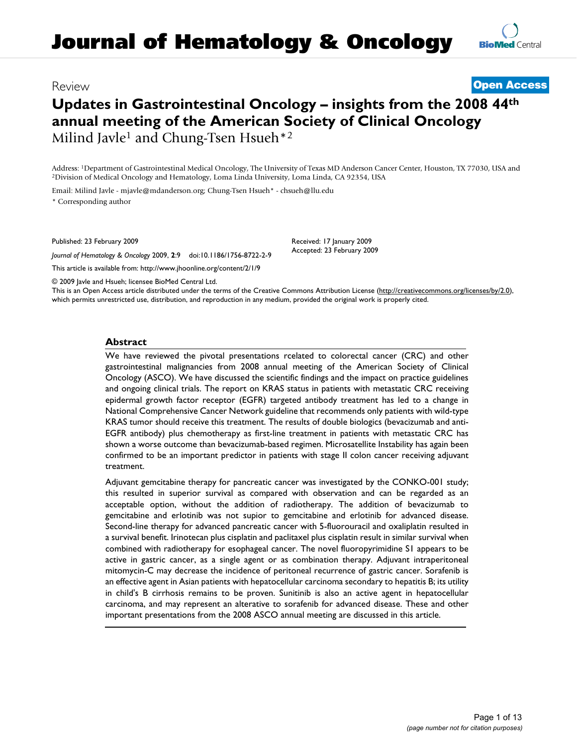# Review **[Open Access](http://www.biomedcentral.com/info/about/charter/)**

# **Updates in Gastrointestinal Oncology – insights from the 2008 44th annual meeting of the American Society of Clinical Oncology** Milind Javle<sup>1</sup> and Chung-Tsen Hsueh<sup>\*2</sup>

Address: <sup>1</sup>Department of Gastrointestinal Medical Oncology, The University of Texas MD Anderson Cancer Center, Houston, TX 77030, USA and <sup>2</sup>Division of Medical Oncology and Hematology, Loma Linda University, Loma Linda,

Email: Milind Javle - mjavle@mdanderson.org; Chung-Tsen Hsueh\* - chsueh@llu.edu \* Corresponding author

Published: 23 February 2009

*Journal of Hematology & Oncology* 2009, **2**:9 doi:10.1186/1756-8722-2-9

[This article is available from: http://www.jhoonline.org/content/2/1/9](http://www.jhoonline.org/content/2/1/9)

Received: 17 January 2009 Accepted: 23 February 2009

© 2009 Javle and Hsueh; licensee BioMed Central Ltd.

This is an Open Access article distributed under the terms of the Creative Commons Attribution License [\(http://creativecommons.org/licenses/by/2.0\)](http://creativecommons.org/licenses/by/2.0), which permits unrestricted use, distribution, and reproduction in any medium, provided the original work is properly cited.

#### **Abstract**

We have reviewed the pivotal presentations rcelated to colorectal cancer (CRC) and other gastrointestinal malignancies from 2008 annual meeting of the American Society of Clinical Oncology (ASCO). We have discussed the scientific findings and the impact on practice guidelines and ongoing clinical trials. The report on KRAS status in patients with metastatic CRC receiving epidermal growth factor receptor (EGFR) targeted antibody treatment has led to a change in National Comprehensive Cancer Network guideline that recommends only patients with wild-type KRAS tumor should receive this treatment. The results of double biologics (bevacizumab and anti-EGFR antibody) plus chemotherapy as first-line treatment in patients with metastatic CRC has shown a worse outcome than bevacizumab-based regimen. Microsatellite Instability has again been confirmed to be an important predictor in patients with stage II colon cancer receiving adjuvant treatment.

Adjuvant gemcitabine therapy for pancreatic cancer was investigated by the CONKO-001 study; this resulted in superior survival as compared with observation and can be regarded as an acceptable option, without the addition of radiotherapy. The addition of bevacizumab to gemcitabine and erlotinib was not supior to gemcitabine and erlotinib for advanced disease. Second-line therapy for advanced pancreatic cancer with 5-fluorouracil and oxaliplatin resulted in a survival benefit. Irinotecan plus cisplatin and paclitaxel plus cisplatin result in similar survival when combined with radiotherapy for esophageal cancer. The novel fluoropyrimidine S1 appears to be active in gastric cancer, as a single agent or as combination therapy. Adjuvant intraperitoneal mitomycin-C may decrease the incidence of peritoneal recurrence of gastric cancer. Sorafenib is an effective agent in Asian patients with hepatocellular carcinoma secondary to hepatitis B; its utility in child's B cirrhosis remains to be proven. Sunitinib is also an active agent in hepatocellular carcinoma, and may represent an alterative to sorafenib for advanced disease. These and other important presentations from the 2008 ASCO annual meeting are discussed in this article.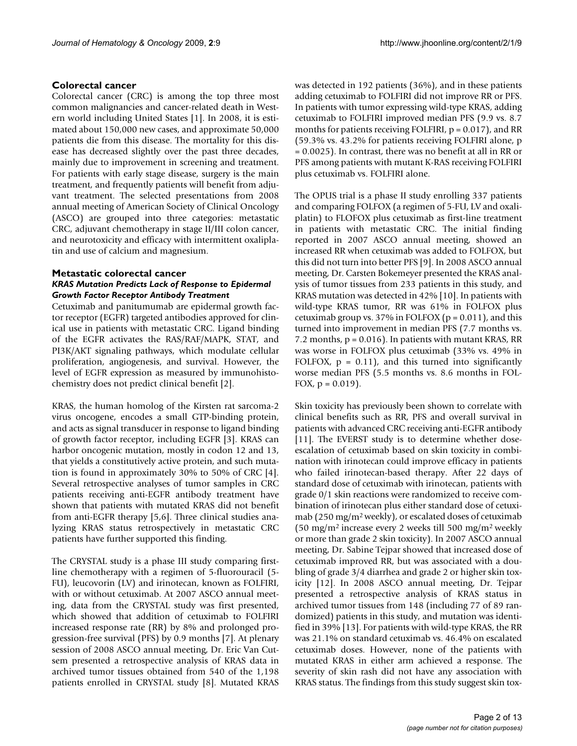#### **Colorectal cancer**

Colorectal cancer (CRC) is among the top three most common malignancies and cancer-related death in Western world including United States [1]. In 2008, it is estimated about 150,000 new cases, and approximate 50,000 patients die from this disease. The mortality for this disease has decreased slightly over the past three decades, mainly due to improvement in screening and treatment. For patients with early stage disease, surgery is the main treatment, and frequently patients will benefit from adjuvant treatment. The selected presentations from 2008 annual meeting of American Society of Clinical Oncology (ASCO) are grouped into three categories: metastatic CRC, adjuvant chemotherapy in stage II/III colon cancer, and neurotoxicity and efficacy with intermittent oxaliplatin and use of calcium and magnesium.

#### **Metastatic colorectal cancer**

#### *KRAS Mutation Predicts Lack of Response to Epidermal Growth Factor Receptor Antibody Treatment*

Cetuximab and panitumumab are epidermal growth factor receptor (EGFR) targeted antibodies approved for clinical use in patients with metastatic CRC. Ligand binding of the EGFR activates the RAS/RAF/MAPK, STAT, and PI3K/AKT signaling pathways, which modulate cellular proliferation, angiogenesis, and survival. However, the level of EGFR expression as measured by immunohistochemistry does not predict clinical benefit [2].

KRAS, the human homolog of the Kirsten rat sarcoma-2 virus oncogene, encodes a small GTP-binding protein, and acts as signal transducer in response to ligand binding of growth factor receptor, including EGFR [3]. KRAS can harbor oncogenic mutation, mostly in codon 12 and 13, that yields a constitutively active protein, and such mutation is found in approximately 30% to 50% of CRC [4]. Several retrospective analyses of tumor samples in CRC patients receiving anti-EGFR antibody treatment have shown that patients with mutated KRAS did not benefit from anti-EGFR therapy [5,6]. Three clinical studies analyzing KRAS status retrospectively in metastatic CRC patients have further supported this finding.

The CRYSTAL study is a phase III study comparing firstline chemotherapy with a regimen of 5-fluorouracil (5- FU), leucovorin (LV) and irinotecan, known as FOLFIRI, with or without cetuximab. At 2007 ASCO annual meeting, data from the CRYSTAL study was first presented, which showed that addition of cetuximab to FOLFIRI increased response rate (RR) by 8% and prolonged progression-free survival (PFS) by 0.9 months [7]. At plenary session of 2008 ASCO annual meeting, Dr. Eric Van Cutsem presented a retrospective analysis of KRAS data in archived tumor tissues obtained from 540 of the 1,198 patients enrolled in CRYSTAL study [8]. Mutated KRAS

was detected in 192 patients (36%), and in these patients adding cetuximab to FOLFIRI did not improve RR or PFS. In patients with tumor expressing wild-type KRAS, adding cetuximab to FOLFIRI improved median PFS (9.9 vs. 8.7 months for patients receiving FOLFIRI, p = 0.017), and RR (59.3% vs. 43.2% for patients receiving FOLFIRI alone, p = 0.0025). In contrast, there was no benefit at all in RR or PFS among patients with mutant K-RAS receiving FOLFIRI plus cetuximab vs. FOLFIRI alone.

The OPUS trial is a phase II study enrolling 337 patients and comparing FOLFOX (a regimen of 5-FU, LV and oxaliplatin) to FLOFOX plus cetuximab as first-line treatment in patients with metastatic CRC. The initial finding reported in 2007 ASCO annual meeting, showed an increased RR when cetuximab was added to FOLFOX, but this did not turn into better PFS [9]. In 2008 ASCO annual meeting, Dr. Carsten Bokemeyer presented the KRAS analysis of tumor tissues from 233 patients in this study, and KRAS mutation was detected in 42% [10]. In patients with wild-type KRAS tumor, RR was 61% in FOLFOX plus cetuximab group vs. 37% in FOLFOX ( $p = 0.011$ ), and this turned into improvement in median PFS (7.7 months vs. 7.2 months, p = 0.016). In patients with mutant KRAS, RR was worse in FOLFOX plus cetuximab (33% vs. 49% in FOLFOX,  $p = 0.11$ , and this turned into significantly worse median PFS (5.5 months vs. 8.6 months in FOL-FOX,  $p = 0.019$ ).

Skin toxicity has previously been shown to correlate with clinical benefits such as RR, PFS and overall survival in patients with advanced CRC receiving anti-EGFR antibody [11]. The EVERST study is to determine whether doseescalation of cetuximab based on skin toxicity in combination with irinotecan could improve efficacy in patients who failed irinotecan-based therapy. After 22 days of standard dose of cetuximab with irinotecan, patients with grade 0/1 skin reactions were randomized to receive combination of irinotecan plus either standard dose of cetuximab (250 mg/m2 weekly), or escalated doses of cetuximab  $(50 \text{ mg/m}^2 \text{ increase every } 2 \text{ weeks till } 500 \text{ mg/m}^2 \text{ weekly}$ or more than grade 2 skin toxicity). In 2007 ASCO annual meeting, Dr. Sabine Tejpar showed that increased dose of cetuximab improved RR, but was associated with a doubling of grade 3/4 diarrhea and grade 2 or higher skin toxicity [12]. In 2008 ASCO annual meeting, Dr. Tejpar presented a retrospective analysis of KRAS status in archived tumor tissues from 148 (including 77 of 89 randomized) patients in this study, and mutation was identified in 39% [13]. For patients with wild-type KRAS, the RR was 21.1% on standard cetuximab vs. 46.4% on escalated cetuximab doses. However, none of the patients with mutated KRAS in either arm achieved a response. The severity of skin rash did not have any association with KRAS status. The findings from this study suggest skin tox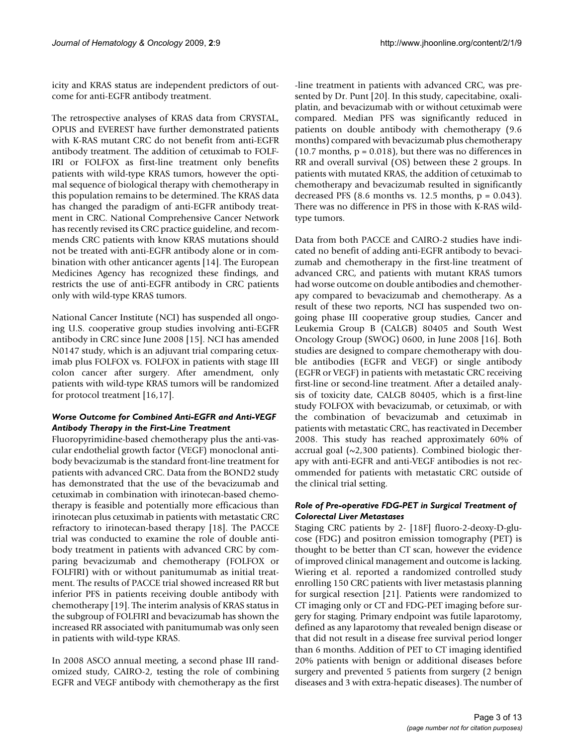icity and KRAS status are independent predictors of outcome for anti-EGFR antibody treatment.

The retrospective analyses of KRAS data from CRYSTAL, OPUS and EVEREST have further demonstrated patients with K-RAS mutant CRC do not benefit from anti-EGFR antibody treatment. The addition of cetuximab to FOLF-IRI or FOLFOX as first-line treatment only benefits patients with wild-type KRAS tumors, however the optimal sequence of biological therapy with chemotherapy in this population remains to be determined. The KRAS data has changed the paradigm of anti-EGFR antibody treatment in CRC. National Comprehensive Cancer Network has recently revised its CRC practice guideline, and recommends CRC patients with know KRAS mutations should not be treated with anti-EGFR antibody alone or in combination with other anticancer agents [14]. The European Medicines Agency has recognized these findings, and restricts the use of anti-EGFR antibody in CRC patients only with wild-type KRAS tumors.

National Cancer Institute (NCI) has suspended all ongoing U.S. cooperative group studies involving anti-EGFR antibody in CRC since June 2008 [15]. NCI has amended N0147 study, which is an adjuvant trial comparing cetuximab plus FOLFOX vs. FOLFOX in patients with stage III colon cancer after surgery. After amendment, only patients with wild-type KRAS tumors will be randomized for protocol treatment [16,17].

# *Worse Outcome for Combined Anti-EGFR and Anti-VEGF Antibody Therapy in the First-Line Treatment*

Fluoropyrimidine-based chemotherapy plus the anti-vascular endothelial growth factor (VEGF) monoclonal antibody bevacizumab is the standard front-line treatment for patients with advanced CRC. Data from the BOND2 study has demonstrated that the use of the bevacizumab and cetuximab in combination with irinotecan-based chemotherapy is feasible and potentially more efficacious than irinotecan plus cetuximab in patients with metastatic CRC refractory to irinotecan-based therapy [18]. The PACCE trial was conducted to examine the role of double antibody treatment in patients with advanced CRC by comparing bevacizumab and chemotherapy (FOLFOX or FOLFIRI) with or without panitumumab as initial treatment. The results of PACCE trial showed increased RR but inferior PFS in patients receiving double antibody with chemotherapy [19]. The interim analysis of KRAS status in the subgroup of FOLFIRI and bevacizumab has shown the increased RR associated with panitumumab was only seen in patients with wild-type KRAS.

In 2008 ASCO annual meeting, a second phase III randomized study, CAIRO-2, testing the role of combining EGFR and VEGF antibody with chemotherapy as the first -line treatment in patients with advanced CRC, was presented by Dr. Punt [20]. In this study, capecitabine, oxaliplatin, and bevacizumab with or without cetuximab were compared. Median PFS was significantly reduced in patients on double antibody with chemotherapy (9.6 months) compared with bevacizumab plus chemotherapy (10.7 months,  $p = 0.018$ ), but there was no differences in RR and overall survival (OS) between these 2 groups. In patients with mutated KRAS, the addition of cetuximab to chemotherapy and bevacizumab resulted in significantly decreased PFS (8.6 months vs. 12.5 months,  $p = 0.043$ ). There was no difference in PFS in those with K-RAS wildtype tumors.

Data from both PACCE and CAIRO-2 studies have indicated no benefit of adding anti-EGFR antibody to bevacizumab and chemotherapy in the first-line treatment of advanced CRC, and patients with mutant KRAS tumors had worse outcome on double antibodies and chemotherapy compared to bevacizumab and chemotherapy. As a result of these two reports, NCI has suspended two ongoing phase III cooperative group studies, Cancer and Leukemia Group B (CALGB) 80405 and South West Oncology Group (SWOG) 0600, in June 2008 [16]. Both studies are designed to compare chemotherapy with double antibodies (EGFR and VEGF) or single antibody (EGFR or VEGF) in patients with metastatic CRC receiving first-line or second-line treatment. After a detailed analysis of toxicity date, CALGB 80405, which is a first-line study FOLFOX with bevacizumab, or cetuximab, or with the combination of bevacizumab and cetuximab in patients with metastatic CRC, has reactivated in December 2008. This study has reached approximately 60% of accrual goal (~2,300 patients). Combined biologic therapy with anti-EGFR and anti-VEGF antibodies is not recommended for patients with metastatic CRC outside of the clinical trial setting.

#### *Role of Pre-operative FDG-PET in Surgical Treatment of Colorectal Liver Metastases*

Staging CRC patients by 2- [18F] fluoro-2-deoxy-D-glucose (FDG) and positron emission tomography (PET) is thought to be better than CT scan, however the evidence of improved clinical management and outcome is lacking. Wiering et al. reported a randomized controlled study enrolling 150 CRC patients with liver metastasis planning for surgical resection [21]. Patients were randomized to CT imaging only or CT and FDG-PET imaging before surgery for staging. Primary endpoint was futile laparotomy, defined as any laparotomy that revealed benign disease or that did not result in a disease free survival period longer than 6 months. Addition of PET to CT imaging identified 20% patients with benign or additional diseases before surgery and prevented 5 patients from surgery (2 benign diseases and 3 with extra-hepatic diseases). The number of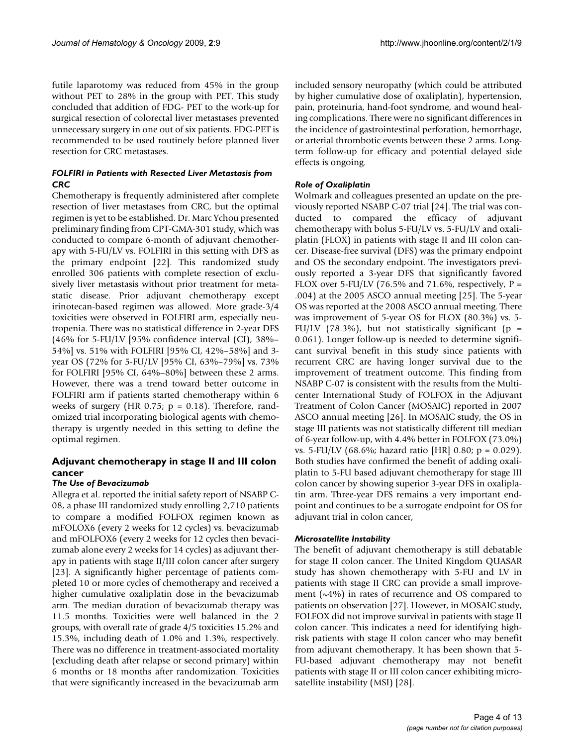futile laparotomy was reduced from 45% in the group without PET to 28% in the group with PET. This study concluded that addition of FDG- PET to the work-up for surgical resection of colorectal liver metastases prevented unnecessary surgery in one out of six patients. FDG-PET is recommended to be used routinely before planned liver resection for CRC metastases.

# *FOLFIRI in Patients with Resected Liver Metastasis from CRC*

Chemotherapy is frequently administered after complete resection of liver metastases from CRC, but the optimal regimen is yet to be established. Dr. Marc Ychou presented preliminary finding from CPT-GMA-301 study, which was conducted to compare 6-month of adjuvant chemotherapy with 5-FU/LV vs. FOLFIRI in this setting with DFS as the primary endpoint [22]. This randomized study enrolled 306 patients with complete resection of exclusively liver metastasis without prior treatment for metastatic disease. Prior adjuvant chemotherapy except irinotecan-based regimen was allowed. More grade-3/4 toxicities were observed in FOLFIRI arm, especially neutropenia. There was no statistical difference in 2-year DFS (46% for 5-FU/LV [95% confidence interval (CI), 38%– 54%] vs. 51% with FOLFIRI [95% CI, 42%–58%] and 3 year OS (72% for 5-FU/LV [95% CI, 63%–79%] vs. 73% for FOLFIRI [95% CI, 64%–80%] between these 2 arms. However, there was a trend toward better outcome in FOLFIRI arm if patients started chemotherapy within 6 weeks of surgery (HR 0.75;  $p = 0.18$ ). Therefore, randomized trial incorporating biological agents with chemotherapy is urgently needed in this setting to define the optimal regimen.

# **Adjuvant chemotherapy in stage II and III colon cancer**

# *The Use of Bevacizumab*

Allegra et al. reported the initial safety report of NSABP C-08, a phase III randomized study enrolling 2,710 patients to compare a modified FOLFOX regimen known as mFOLOX6 (every 2 weeks for 12 cycles) vs. bevacizumab and mFOLFOX6 (every 2 weeks for 12 cycles then bevacizumab alone every 2 weeks for 14 cycles) as adjuvant therapy in patients with stage II/III colon cancer after surgery [23]. A significantly higher percentage of patients completed 10 or more cycles of chemotherapy and received a higher cumulative oxaliplatin dose in the bevacizumab arm. The median duration of bevacizumab therapy was 11.5 months. Toxicities were well balanced in the 2 groups, with overall rate of grade 4/5 toxicities 15.2% and 15.3%, including death of 1.0% and 1.3%, respectively. There was no difference in treatment-associated mortality (excluding death after relapse or second primary) within 6 months or 18 months after randomization. Toxicities that were significantly increased in the bevacizumab arm

included sensory neuropathy (which could be attributed by higher cumulative dose of oxaliplatin), hypertension, pain, proteinuria, hand-foot syndrome, and wound healing complications. There were no significant differences in the incidence of gastrointestinal perforation, hemorrhage, or arterial thrombotic events between these 2 arms. Longterm follow-up for efficacy and potential delayed side effects is ongoing.

# *Role of Oxaliplatin*

Wolmark and colleagues presented an update on the previously reported NSABP C-07 trial [24]. The trial was conducted to compared the efficacy of adjuvant chemotherapy with bolus 5-FU/LV vs. 5-FU/LV and oxaliplatin (FLOX) in patients with stage II and III colon cancer. Disease-free survival (DFS) was the primary endpoint and OS the secondary endpoint. The investigators previously reported a 3-year DFS that significantly favored FLOX over 5-FU/LV (76.5% and 71.6%, respectively,  $P =$ .004) at the 2005 ASCO annual meeting [25]. The 5-year OS was reported at the 2008 ASCO annual meeting. There was improvement of 5-year OS for FLOX (80.3%) vs. 5- FU/LV (78.3%), but not statistically significant ( $p =$ 0.061). Longer follow-up is needed to determine significant survival benefit in this study since patients with recurrent CRC are having longer survival due to the improvement of treatment outcome. This finding from NSABP C-07 is consistent with the results from the Multicenter International Study of FOLFOX in the Adjuvant Treatment of Colon Cancer (MOSAIC) reported in 2007 ASCO annual meeting [26]. In MOSAIC study, the OS in stage III patients was not statistically different till median of 6-year follow-up, with 4.4% better in FOLFOX (73.0%) vs. 5-FU/LV (68.6%; hazard ratio [HR] 0.80; p = 0.029). Both studies have confirmed the benefit of adding oxaliplatin to 5-FU based adjuvant chemotherapy for stage III colon cancer by showing superior 3-year DFS in oxaliplatin arm. Three-year DFS remains a very important endpoint and continues to be a surrogate endpoint for OS for adjuvant trial in colon cancer,

# *Microsatellite Instability*

The benefit of adjuvant chemotherapy is still debatable for stage II colon cancer. The United Kingdom QUASAR study has shown chemotherapy with 5-FU and LV in patients with stage II CRC can provide a small improvement  $(\sim 4\%)$  in rates of recurrence and OS compared to patients on observation [27]. However, in MOSAIC study, FOLFOX did not improve survival in patients with stage II colon cancer. This indicates a need for identifying highrisk patients with stage II colon cancer who may benefit from adjuvant chemotherapy. It has been shown that 5- FU-based adjuvant chemotherapy may not benefit patients with stage II or III colon cancer exhibiting microsatellite instability (MSI) [28].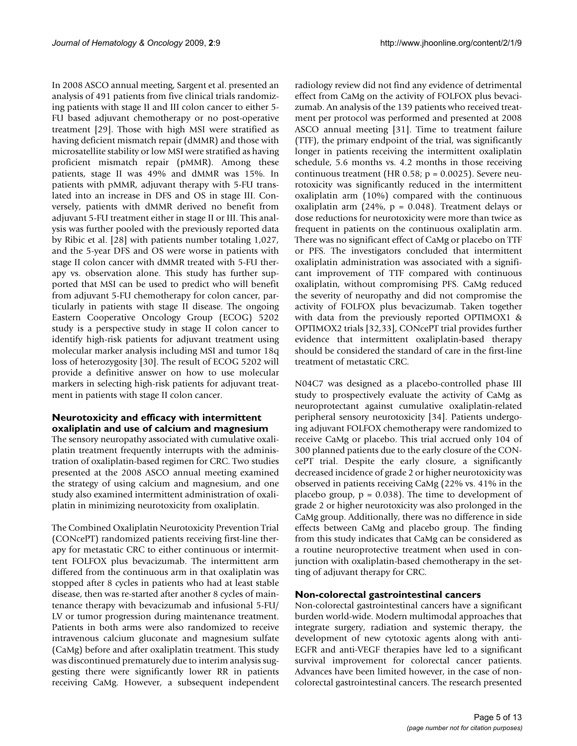In 2008 ASCO annual meeting, Sargent et al. presented an analysis of 491 patients from five clinical trials randomizing patients with stage II and III colon cancer to either 5- FU based adjuvant chemotherapy or no post-operative treatment [29]. Those with high MSI were stratified as having deficient mismatch repair (dMMR) and those with microsatellite stability or low MSI were stratified as having proficient mismatch repair (pMMR). Among these patients, stage II was 49% and dMMR was 15%. In patients with pMMR, adjuvant therapy with 5-FU translated into an increase in DFS and OS in stage III. Conversely, patients with dMMR derived no benefit from adjuvant 5-FU treatment either in stage II or III. This analysis was further pooled with the previously reported data by Ribic et al. [28] with patients number totaling 1,027, and the 5-year DFS and OS were worse in patients with stage II colon cancer with dMMR treated with 5-FU therapy vs. observation alone. This study has further supported that MSI can be used to predict who will benefit from adjuvant 5-FU chemotherapy for colon cancer, particularly in patients with stage II disease. The ongoing Eastern Cooperative Oncology Group (ECOG) 5202 study is a perspective study in stage II colon cancer to identify high-risk patients for adjuvant treatment using molecular marker analysis including MSI and tumor 18q loss of heterozygosity [30]. The result of ECOG 5202 will provide a definitive answer on how to use molecular markers in selecting high-risk patients for adjuvant treatment in patients with stage II colon cancer.

# **Neurotoxicity and efficacy with intermittent oxaliplatin and use of calcium and magnesium**

The sensory neuropathy associated with cumulative oxaliplatin treatment frequently interrupts with the administration of oxaliplatin-based regimen for CRC. Two studies presented at the 2008 ASCO annual meeting examined the strategy of using calcium and magnesium, and one study also examined intermittent administration of oxaliplatin in minimizing neurotoxicity from oxaliplatin.

The Combined Oxaliplatin Neurotoxicity Prevention Trial (CONcePT) randomized patients receiving first-line therapy for metastatic CRC to either continuous or intermittent FOLFOX plus bevacizumab. The intermittent arm differed from the continuous arm in that oxaliplatin was stopped after 8 cycles in patients who had at least stable disease, then was re-started after another 8 cycles of maintenance therapy with bevacizumab and infusional 5-FU/ LV or tumor progression during maintenance treatment. Patients in both arms were also randomized to receive intravenous calcium gluconate and magnesium sulfate (CaMg) before and after oxaliplatin treatment. This study was discontinued prematurely due to interim analysis suggesting there were significantly lower RR in patients receiving CaMg. However, a subsequent independent radiology review did not find any evidence of detrimental effect from CaMg on the activity of FOLFOX plus bevacizumab. An analysis of the 139 patients who received treatment per protocol was performed and presented at 2008 ASCO annual meeting [31]. Time to treatment failure (TTF), the primary endpoint of the trial, was significantly longer in patients receiving the intermittent oxaliplatin schedule, 5.6 months vs. 4.2 months in those receiving continuous treatment (HR  $0.58$ ; p = 0.0025). Severe neurotoxicity was significantly reduced in the intermittent oxaliplatin arm (10%) compared with the continuous oxaliplatin arm (24%,  $p = 0.048$ ). Treatment delays or dose reductions for neurotoxicity were more than twice as frequent in patients on the continuous oxaliplatin arm. There was no significant effect of CaMg or placebo on TTF or PFS. The investigators concluded that intermittent oxaliplatin administration was associated with a significant improvement of TTF compared with continuous oxaliplatin, without compromising PFS. CaMg reduced the severity of neuropathy and did not compromise the activity of FOLFOX plus bevacizumab. Taken together with data from the previously reported OPTIMOX1 & OPTIMOX2 trials [32,33], CONcePT trial provides further evidence that intermittent oxaliplatin-based therapy should be considered the standard of care in the first-line treatment of metastatic CRC.

N04C7 was designed as a placebo-controlled phase III study to prospectively evaluate the activity of CaMg as neuroprotectant against cumulative oxaliplatin-related peripheral sensory neurotoxicity [34]. Patients undergoing adjuvant FOLFOX chemotherapy were randomized to receive CaMg or placebo. This trial accrued only 104 of 300 planned patients due to the early closure of the CONcePT trial. Despite the early closure, a significantly decreased incidence of grade 2 or higher neurotoxicity was observed in patients receiving CaMg (22% vs. 41% in the placebo group,  $p = 0.038$ . The time to development of grade 2 or higher neurotoxicity was also prolonged in the CaMg group. Additionally, there was no difference in side effects between CaMg and placebo group. The finding from this study indicates that CaMg can be considered as a routine neuroprotective treatment when used in conjunction with oxaliplatin-based chemotherapy in the setting of adjuvant therapy for CRC.

# **Non-colorectal gastrointestinal cancers**

Non-colorectal gastrointestinal cancers have a significant burden world-wide. Modern multimodal approaches that integrate surgery, radiation and systemic therapy, the development of new cytotoxic agents along with anti-EGFR and anti-VEGF therapies have led to a significant survival improvement for colorectal cancer patients. Advances have been limited however, in the case of noncolorectal gastrointestinal cancers. The research presented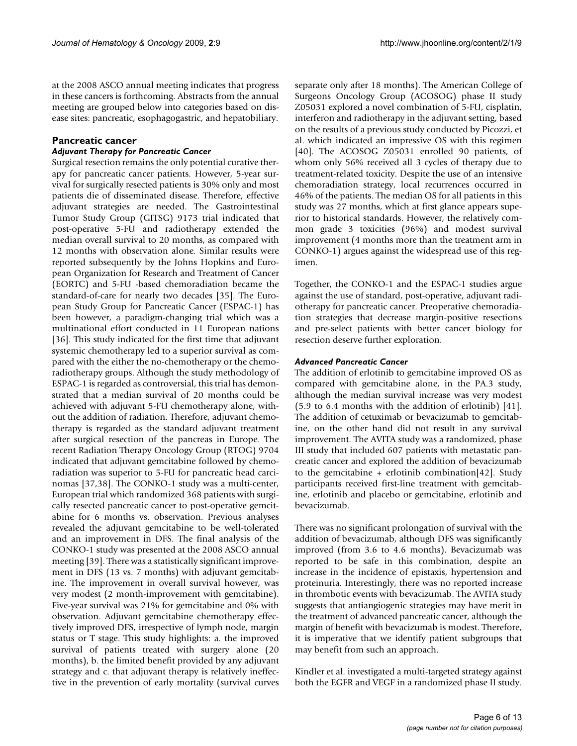at the 2008 ASCO annual meeting indicates that progress in these cancers is forthcoming. Abstracts from the annual meeting are grouped below into categories based on disease sites: pancreatic, esophagogastric, and hepatobiliary.

# **Pancreatic cancer**

# *Adjuvant Therapy for Pancreatic Cancer*

Surgical resection remains the only potential curative therapy for pancreatic cancer patients. However, 5-year survival for surgically resected patients is 30% only and most patients die of disseminated disease. Therefore, effective adjuvant strategies are needed. The Gastrointestinal Tumor Study Group (GITSG) 9173 trial indicated that post-operative 5-FU and radiotherapy extended the median overall survival to 20 months, as compared with 12 months with observation alone. Similar results were reported subsequently by the Johns Hopkins and European Organization for Research and Treatment of Cancer (EORTC) and 5-FU -based chemoradiation became the standard-of-care for nearly two decades [35]. The European Study Group for Pancreatic Cancer (ESPAC-1) has been however, a paradigm-changing trial which was a multinational effort conducted in 11 European nations [36]. This study indicated for the first time that adjuvant systemic chemotherapy led to a superior survival as compared with the either the no-chemotherapy or the chemoradiotherapy groups. Although the study methodology of ESPAC-1 is regarded as controversial, this trial has demonstrated that a median survival of 20 months could be achieved with adjuvant 5-FU chemotherapy alone, without the addition of radiation. Therefore, adjuvant chemotherapy is regarded as the standard adjuvant treatment after surgical resection of the pancreas in Europe. The recent Radiation Therapy Oncology Group (RTOG) 9704 indicated that adjuvant gemcitabine followed by chemoradiation was superior to 5-FU for pancreatic head carcinomas [37,38]. The CONKO-1 study was a multi-center, European trial which randomized 368 patients with surgically resected pancreatic cancer to post-operative gemcitabine for 6 months vs. observation. Previous analyses revealed the adjuvant gemcitabine to be well-tolerated and an improvement in DFS. The final analysis of the CONKO-1 study was presented at the 2008 ASCO annual meeting [39]. There was a statistically significant improvement in DFS (13 vs. 7 months) with adjuvant gemcitabine. The improvement in overall survival however, was very modest (2 month-improvement with gemcitabine). Five-year survival was 21% for gemcitabine and 0% with observation. Adjuvant gemcitabine chemotherapy effectively improved DFS, irrespective of lymph node, margin status or T stage. This study highlights: a. the improved survival of patients treated with surgery alone (20 months), b. the limited benefit provided by any adjuvant strategy and c. that adjuvant therapy is relatively ineffective in the prevention of early mortality (survival curves separate only after 18 months). The American College of Surgeons Oncology Group (ACOSOG) phase II study Z05031 explored a novel combination of 5-FU, cisplatin, interferon and radiotherapy in the adjuvant setting, based on the results of a previous study conducted by Picozzi, et al. which indicated an impressive OS with this regimen [40]. The ACOSOG Z05031 enrolled 90 patients, of whom only 56% received all 3 cycles of therapy due to treatment-related toxicity. Despite the use of an intensive chemoradiation strategy, local recurrences occurred in 46% of the patients. The median OS for all patients in this study was 27 months, which at first glance appears superior to historical standards. However, the relatively common grade 3 toxicities (96%) and modest survival improvement (4 months more than the treatment arm in CONKO-1) argues against the widespread use of this regimen.

Together, the CONKO-1 and the ESPAC-1 studies argue against the use of standard, post-operative, adjuvant radiotherapy for pancreatic cancer. Preoperative chemoradiation strategies that decrease margin-positive resections and pre-select patients with better cancer biology for resection deserve further exploration.

#### *Advanced Pancreatic Cancer*

The addition of erlotinib to gemcitabine improved OS as compared with gemcitabine alone, in the PA.3 study, although the median survival increase was very modest (5.9 to 6.4 months with the addition of erlotinib) [41]. The addition of cetuximab or bevacizumab to gemcitabine, on the other hand did not result in any survival improvement. The AVITA study was a randomized, phase III study that included 607 patients with metastatic pancreatic cancer and explored the addition of bevacizumab to the gemcitabine + erlotinib combination[42]. Study participants received first-line treatment with gemcitabine, erlotinib and placebo or gemcitabine, erlotinib and bevacizumab.

There was no significant prolongation of survival with the addition of bevacizumab, although DFS was significantly improved (from 3.6 to 4.6 months). Bevacizumab was reported to be safe in this combination, despite an increase in the incidence of epistaxis, hypertension and proteinuria. Interestingly, there was no reported increase in thrombotic events with bevacizumab. The AVITA study suggests that antiangiogenic strategies may have merit in the treatment of advanced pancreatic cancer, although the margin of benefit with bevacizumab is modest. Therefore, it is imperative that we identify patient subgroups that may benefit from such an approach.

Kindler et al. investigated a multi-targeted strategy against both the EGFR and VEGF in a randomized phase II study.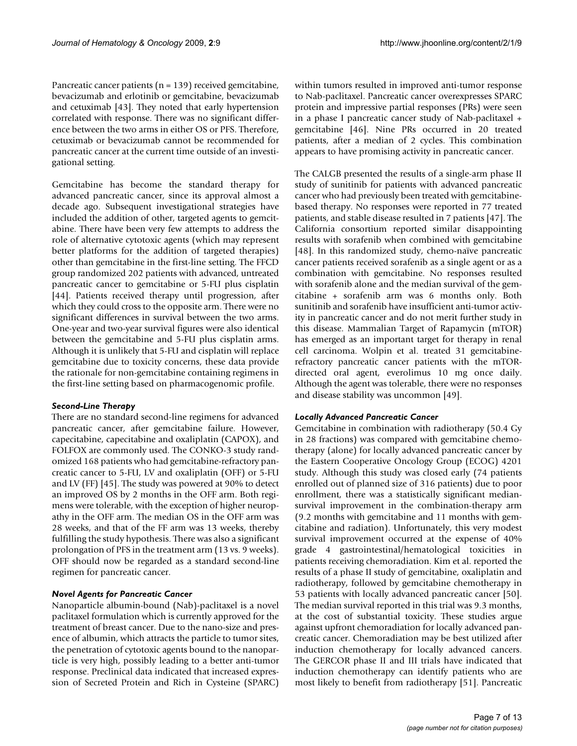Pancreatic cancer patients (n = 139) received gemcitabine, bevacizumab and erlotinib or gemcitabine, bevacizumab and cetuximab [43]. They noted that early hypertension correlated with response. There was no significant difference between the two arms in either OS or PFS. Therefore, cetuximab or bevacizumab cannot be recommended for pancreatic cancer at the current time outside of an investigational setting.

Gemcitabine has become the standard therapy for advanced pancreatic cancer, since its approval almost a decade ago. Subsequent investigational strategies have included the addition of other, targeted agents to gemcitabine. There have been very few attempts to address the role of alternative cytotoxic agents (which may represent better platforms for the addition of targeted therapies) other than gemcitabine in the first-line setting. The FFCD group randomized 202 patients with advanced, untreated pancreatic cancer to gemcitabine or 5-FU plus cisplatin [44]. Patients received therapy until progression, after which they could cross to the opposite arm. There were no significant differences in survival between the two arms. One-year and two-year survival figures were also identical between the gemcitabine and 5-FU plus cisplatin arms. Although it is unlikely that 5-FU and cisplatin will replace gemcitabine due to toxicity concerns, these data provide the rationale for non-gemcitabine containing regimens in the first-line setting based on pharmacogenomic profile.

# *Second-Line Therapy*

There are no standard second-line regimens for advanced pancreatic cancer, after gemcitabine failure. However, capecitabine, capecitabine and oxaliplatin (CAPOX), and FOLFOX are commonly used. The CONKO-3 study randomized 168 patients who had gemcitabine-refractory pancreatic cancer to 5-FU, LV and oxaliplatin (OFF) or 5-FU and LV (FF) [45]. The study was powered at 90% to detect an improved OS by 2 months in the OFF arm. Both regimens were tolerable, with the exception of higher neuropathy in the OFF arm. The median OS in the OFF arm was 28 weeks, and that of the FF arm was 13 weeks, thereby fulfilling the study hypothesis. There was also a significant prolongation of PFS in the treatment arm (13 vs. 9 weeks). OFF should now be regarded as a standard second-line regimen for pancreatic cancer.

#### *Novel Agents for Pancreatic Cancer*

Nanoparticle albumin-bound (Nab)-paclitaxel is a novel paclitaxel formulation which is currently approved for the treatment of breast cancer. Due to the nano-size and presence of albumin, which attracts the particle to tumor sites, the penetration of cytotoxic agents bound to the nanoparticle is very high, possibly leading to a better anti-tumor response. Preclinical data indicated that increased expression of Secreted Protein and Rich in Cysteine (SPARC) within tumors resulted in improved anti-tumor response to Nab-paclitaxel. Pancreatic cancer overexpresses SPARC protein and impressive partial responses (PRs) were seen in a phase I pancreatic cancer study of Nab-paclitaxel + gemcitabine [46]. Nine PRs occurred in 20 treated patients, after a median of 2 cycles. This combination appears to have promising activity in pancreatic cancer.

The CALGB presented the results of a single-arm phase II study of sunitinib for patients with advanced pancreatic cancer who had previously been treated with gemcitabinebased therapy. No responses were reported in 77 treated patients, and stable disease resulted in 7 patients [47]. The California consortium reported similar disappointing results with sorafenib when combined with gemcitabine [48]. In this randomized study, chemo-naïve pancreatic cancer patients received sorafenib as a single agent or as a combination with gemcitabine. No responses resulted with sorafenib alone and the median survival of the gemcitabine + sorafenib arm was 6 months only. Both sunitinib and sorafenib have insufficient anti-tumor activity in pancreatic cancer and do not merit further study in this disease. Mammalian Target of Rapamycin (mTOR) has emerged as an important target for therapy in renal cell carcinoma. Wolpin et al. treated 31 gemcitabinerefractory pancreatic cancer patients with the mTORdirected oral agent, everolimus 10 mg once daily. Although the agent was tolerable, there were no responses and disease stability was uncommon [49].

# *Locally Advanced Pancreatic Cancer*

Gemcitabine in combination with radiotherapy (50.4 Gy in 28 fractions) was compared with gemcitabine chemotherapy (alone) for locally advanced pancreatic cancer by the Eastern Cooperative Oncology Group (ECOG) 4201 study. Although this study was closed early (74 patients enrolled out of planned size of 316 patients) due to poor enrollment, there was a statistically significant mediansurvival improvement in the combination-therapy arm (9.2 months with gemcitabine and 11 months with gemcitabine and radiation). Unfortunately, this very modest survival improvement occurred at the expense of 40% grade 4 gastrointestinal/hematological toxicities in patients receiving chemoradiation. Kim et al. reported the results of a phase II study of gemcitabine, oxaliplatin and radiotherapy, followed by gemcitabine chemotherapy in 53 patients with locally advanced pancreatic cancer [50]. The median survival reported in this trial was 9.3 months, at the cost of substantial toxicity. These studies argue against upfront chemoradiation for locally advanced pancreatic cancer. Chemoradiation may be best utilized after induction chemotherapy for locally advanced cancers. The GERCOR phase II and III trials have indicated that induction chemotherapy can identify patients who are most likely to benefit from radiotherapy [51]. Pancreatic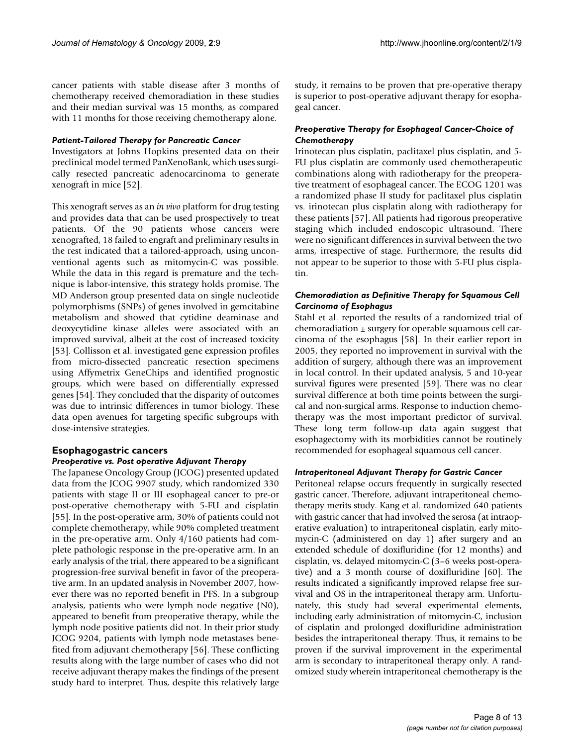cancer patients with stable disease after 3 months of chemotherapy received chemoradiation in these studies and their median survival was 15 months, as compared with 11 months for those receiving chemotherapy alone.

#### *Patient-Tailored Therapy for Pancreatic Cancer*

Investigators at Johns Hopkins presented data on their preclinical model termed PanXenoBank, which uses surgically resected pancreatic adenocarcinoma to generate xenograft in mice [52].

This xenograft serves as an *in vivo* platform for drug testing and provides data that can be used prospectively to treat patients. Of the 90 patients whose cancers were xenografted, 18 failed to engraft and preliminary results in the rest indicated that a tailored-approach, using unconventional agents such as mitomycin-C was possible. While the data in this regard is premature and the technique is labor-intensive, this strategy holds promise. The MD Anderson group presented data on single nucleotide polymorphisms (SNPs) of genes involved in gemcitabine metabolism and showed that cytidine deaminase and deoxycytidine kinase alleles were associated with an improved survival, albeit at the cost of increased toxicity [53]. Collisson et al. investigated gene expression profiles from micro-dissected pancreatic resection specimens using Affymetrix GeneChips and identified prognostic groups, which were based on differentially expressed genes [54]. They concluded that the disparity of outcomes was due to intrinsic differences in tumor biology. These data open avenues for targeting specific subgroups with dose-intensive strategies.

#### **Esophagogastric cancers** *Preoperative vs. Post operative Adjuvant Therapy*

The Japanese Oncology Group (JCOG) presented updated data from the JCOG 9907 study, which randomized 330 patients with stage II or III esophageal cancer to pre-or post-operative chemotherapy with 5-FU and cisplatin [55]. In the post-operative arm, 30% of patients could not complete chemotherapy, while 90% completed treatment in the pre-operative arm. Only 4/160 patients had complete pathologic response in the pre-operative arm. In an early analysis of the trial, there appeared to be a significant progression-free survival benefit in favor of the preoperative arm. In an updated analysis in November 2007, however there was no reported benefit in PFS. In a subgroup analysis, patients who were lymph node negative (N0), appeared to benefit from preoperative therapy, while the lymph node positive patients did not. In their prior study JCOG 9204, patients with lymph node metastases benefited from adjuvant chemotherapy [56]. These conflicting results along with the large number of cases who did not receive adjuvant therapy makes the findings of the present study hard to interpret. Thus, despite this relatively large study, it remains to be proven that pre-operative therapy is superior to post-operative adjuvant therapy for esophageal cancer.

# *Preoperative Therapy for Esophageal Cancer-Choice of Chemotherapy*

Irinotecan plus cisplatin, paclitaxel plus cisplatin, and 5- FU plus cisplatin are commonly used chemotherapeutic combinations along with radiotherapy for the preoperative treatment of esophageal cancer. The ECOG 1201 was a randomized phase II study for paclitaxel plus cisplatin vs. irinotecan plus cisplatin along with radiotherapy for these patients [57]. All patients had rigorous preoperative staging which included endoscopic ultrasound. There were no significant differences in survival between the two arms, irrespective of stage. Furthermore, the results did not appear to be superior to those with 5-FU plus cisplatin.

#### *Chemoradiation as Definitive Therapy for Squamous Cell Carcinoma of Esophagus*

Stahl et al. reported the results of a randomized trial of chemoradiation ± surgery for operable squamous cell carcinoma of the esophagus [58]. In their earlier report in 2005, they reported no improvement in survival with the addition of surgery, although there was an improvement in local control. In their updated analysis, 5 and 10-year survival figures were presented [59]. There was no clear survival difference at both time points between the surgical and non-surgical arms. Response to induction chemotherapy was the most important predictor of survival. These long term follow-up data again suggest that esophagectomy with its morbidities cannot be routinely recommended for esophageal squamous cell cancer.

# *Intraperitoneal Adjuvant Therapy for Gastric Cancer*

Peritoneal relapse occurs frequently in surgically resected gastric cancer. Therefore, adjuvant intraperitoneal chemotherapy merits study. Kang et al. randomized 640 patients with gastric cancer that had involved the serosa (at intraoperative evaluation) to intraperitoneal cisplatin, early mitomycin-C (administered on day 1) after surgery and an extended schedule of doxifluridine (for 12 months) and cisplatin, vs. delayed mitomycin-C (3–6 weeks post-operative) and a 3 month course of doxifluridine [60]. The results indicated a significantly improved relapse free survival and OS in the intraperitoneal therapy arm. Unfortunately, this study had several experimental elements, including early administration of mitomycin-C, inclusion of cisplatin and prolonged doxifluridine administration besides the intraperitoneal therapy. Thus, it remains to be proven if the survival improvement in the experimental arm is secondary to intraperitoneal therapy only. A randomized study wherein intraperitoneal chemotherapy is the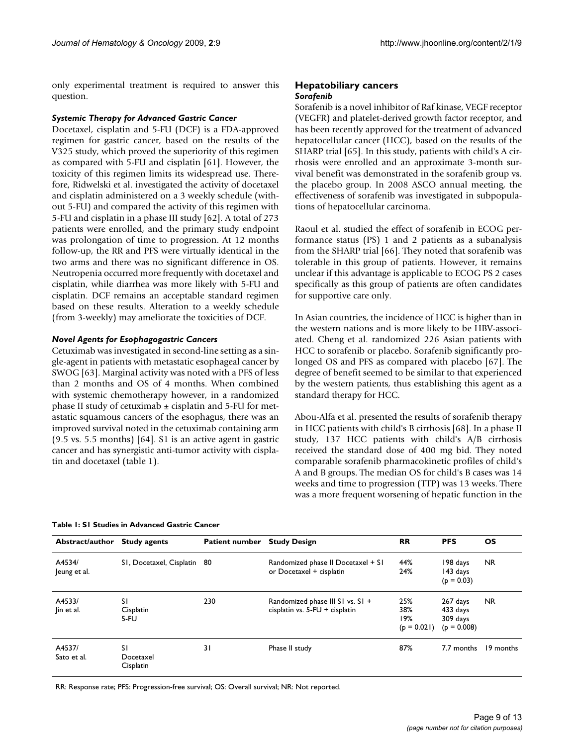only experimental treatment is required to answer this question.

#### *Systemic Therapy for Advanced Gastric Cancer*

Docetaxel, cisplatin and 5-FU (DCF) is a FDA-approved regimen for gastric cancer, based on the results of the V325 study, which proved the superiority of this regimen as compared with 5-FU and cisplatin [61]. However, the toxicity of this regimen limits its widespread use. Therefore, Ridwelski et al. investigated the activity of docetaxel and cisplatin administered on a 3 weekly schedule (without 5-FU) and compared the activity of this regimen with 5-FU and cisplatin in a phase III study [62]. A total of 273 patients were enrolled, and the primary study endpoint was prolongation of time to progression. At 12 months follow-up, the RR and PFS were virtually identical in the two arms and there was no significant difference in OS. Neutropenia occurred more frequently with docetaxel and cisplatin, while diarrhea was more likely with 5-FU and cisplatin. DCF remains an acceptable standard regimen based on these results. Alteration to a weekly schedule (from 3-weekly) may ameliorate the toxicities of DCF.

# *Novel Agents for Esophagogastric Cancers*

Cetuximab was investigated in second-line setting as a single-agent in patients with metastatic esophageal cancer by SWOG [63]. Marginal activity was noted with a PFS of less than 2 months and OS of 4 months. When combined with systemic chemotherapy however, in a randomized phase II study of cetuximab  $\pm$  cisplatin and 5-FU for metastatic squamous cancers of the esophagus, there was an improved survival noted in the cetuximab containing arm (9.5 vs. 5.5 months) [64]. S1 is an active agent in gastric cancer and has synergistic anti-tumor activity with cisplatin and docetaxel (table 1).

#### **Hepatobiliary cancers** *Sorafenib*

Sorafenib is a novel inhibitor of Raf kinase, VEGF receptor (VEGFR) and platelet-derived growth factor receptor, and has been recently approved for the treatment of advanced hepatocellular cancer (HCC), based on the results of the SHARP trial [65]. In this study, patients with child's A cirrhosis were enrolled and an approximate 3-month survival benefit was demonstrated in the sorafenib group vs. the placebo group. In 2008 ASCO annual meeting, the effectiveness of sorafenib was investigated in subpopulations of hepatocellular carcinoma.

Raoul et al. studied the effect of sorafenib in ECOG performance status (PS) 1 and 2 patients as a subanalysis from the SHARP trial [66]. They noted that sorafenib was tolerable in this group of patients. However, it remains unclear if this advantage is applicable to ECOG PS 2 cases specifically as this group of patients are often candidates for supportive care only.

In Asian countries, the incidence of HCC is higher than in the western nations and is more likely to be HBV-associated. Cheng et al. randomized 226 Asian patients with HCC to sorafenib or placebo. Sorafenib significantly prolonged OS and PFS as compared with placebo [67]. The degree of benefit seemed to be similar to that experienced by the western patients, thus establishing this agent as a standard therapy for HCC.

Abou-Alfa et al. presented the results of sorafenib therapy in HCC patients with child's B cirrhosis [68]. In a phase II study, 137 HCC patients with child's A/B cirrhosis received the standard dose of 400 mg bid. They noted comparable sorafenib pharmacokinetic profiles of child's A and B groups. The median OS for child's B cases was 14 weeks and time to progression (TTP) was 13 weeks. There was a more frequent worsening of hepatic function in the

#### **Table 1: S1 Studies in Advanced Gastric Cancer**

**Abstract/author Study agents Patient number Study Design RR PFS OS** A4534/ Jeung et al. S1, Docetaxel, Cisplatin 80 Randomized phase II Docetaxel + S1 or Docetaxel + cisplatin 44% 24% 198 days 143 days  $(p = 0.03)$ NR A4533/ Jin et al. S1 **Cisplatin** 5-FU 230 Randomized phase III S1 vs. S1 + cisplatin vs. 5-FU + cisplatin 25% 38% 19%  $(p = 0.021)$ 267 days 433 days 309 days  $(p = 0.008)$ NR A4537/ Sato et al. S1 Docetaxel **Cisplatin** 31 Phase II study 87% 7.7 months 19 months

RR: Response rate; PFS: Progression-free survival; OS: Overall survival; NR: Not reported.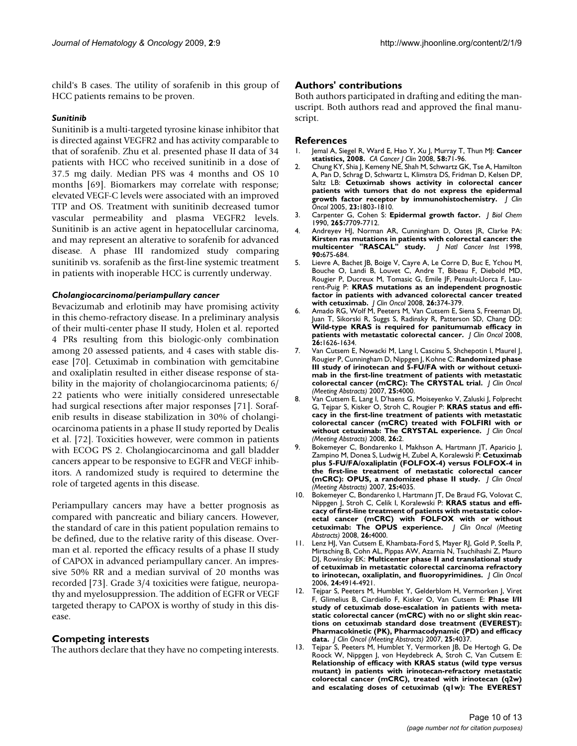child's B cases. The utility of sorafenib in this group of HCC patients remains to be proven.

#### *Sunitinib*

Sunitinib is a multi-targeted tyrosine kinase inhibitor that is directed against VEGFR2 and has activity comparable to that of sorafenib. Zhu et al. presented phase II data of 34 patients with HCC who received sunitinib in a dose of 37.5 mg daily. Median PFS was 4 months and OS 10 months [69]. Biomarkers may correlate with response; elevated VEGF-C levels were associated with an improved TTP and OS. Treatment with sunitinib decreased tumor vascular permeability and plasma VEGFR2 levels. Sunitinib is an active agent in hepatocellular carcinoma, and may represent an alterative to sorafenib for advanced disease. A phase III randomized study comparing sunitinib vs. sorafenib as the first-line systemic treatment in patients with inoperable HCC is currently underway.

#### *Cholangiocarcinoma/periampullary cancer*

Bevacizumab and erlotinib may have promising activity in this chemo-refractory disease. In a preliminary analysis of their multi-center phase II study, Holen et al. reported 4 PRs resulting from this biologic-only combination among 20 assessed patients, and 4 cases with stable disease [70]. Cetuximab in combination with gemcitabine and oxaliplatin resulted in either disease response of stability in the majority of cholangiocarcinoma patients; 6/ 22 patients who were initially considered unresectable had surgical resections after major responses [71]. Sorafenib results in disease stabilization in 30% of cholangiocarcinoma patients in a phase II study reported by Dealis et al. [72]. Toxicities however, were common in patients with ECOG PS 2. Cholangiocarcinoma and gall bladder cancers appear to be responsive to EGFR and VEGF inhibitors. A randomized study is required to determine the role of targeted agents in this disease.

Periampullary cancers may have a better prognosis as compared with pancreatic and biliary cancers. However, the standard of care in this patient population remains to be defined, due to the relative rarity of this disease. Overman et al. reported the efficacy results of a phase II study of CAPOX in advanced periampullary cancer. An impressive 50% RR and a median survival of 20 months was recorded [73]. Grade 3/4 toxicities were fatigue, neuropathy and myelosuppression. The addition of EGFR or VEGF targeted therapy to CAPOX is worthy of study in this disease.

# **Competing interests**

The authors declare that they have no competing interests.

# **Authors' contributions**

Both authors participated in drafting and editing the manuscript. Both authors read and approved the final manuscript.

#### **References**

- 1. Jemal A, Siegel R, Ward E, Hao Y, Xu J, Murray T, Thun MJ: **[Cancer](http://www.ncbi.nlm.nih.gov/entrez/query.fcgi?cmd=Retrieve&db=PubMed&dopt=Abstract&list_uids=18287387) [statistics, 2008.](http://www.ncbi.nlm.nih.gov/entrez/query.fcgi?cmd=Retrieve&db=PubMed&dopt=Abstract&list_uids=18287387)** *CA Cancer J Clin* 2008, **58:**71-96.
- 2. Chung KY, Shia J, Kemeny NE, Shah M, Schwartz GK, Tse A, Hamilton A, Pan D, Schrag D, Schwartz L, Klimstra DS, Fridman D, Kelsen DP, Saltz LB: **[Cetuximab shows activity in colorectal cancer](http://www.ncbi.nlm.nih.gov/entrez/query.fcgi?cmd=Retrieve&db=PubMed&dopt=Abstract&list_uids=15677699) [patients with tumors that do not express the epidermal](http://www.ncbi.nlm.nih.gov/entrez/query.fcgi?cmd=Retrieve&db=PubMed&dopt=Abstract&list_uids=15677699) [growth factor receptor by immunohistochemistry.](http://www.ncbi.nlm.nih.gov/entrez/query.fcgi?cmd=Retrieve&db=PubMed&dopt=Abstract&list_uids=15677699)** *J Clin Oncol* 2005, **23:**1803-1810.
- 3. Carpenter G, Cohen S: **[Epidermal growth factor.](http://www.ncbi.nlm.nih.gov/entrez/query.fcgi?cmd=Retrieve&db=PubMed&dopt=Abstract&list_uids=2186024)** *J Biol Chem* 1990, **265:**7709-7712.
- 4. Andreyev HJ, Norman AR, Cunningham D, Oates JR, Clarke PA: **[Kirsten ras mutations in patients with colorectal cancer: the](http://www.ncbi.nlm.nih.gov/entrez/query.fcgi?cmd=Retrieve&db=PubMed&dopt=Abstract&list_uids=9586664) [multicenter "RASCAL" study.](http://www.ncbi.nlm.nih.gov/entrez/query.fcgi?cmd=Retrieve&db=PubMed&dopt=Abstract&list_uids=9586664)** *J Natl Cancer Inst* 1998, **90:**675-684.
- 5. Lievre A, Bachet JB, Boige V, Cayre A, Le Corre D, Buc E, Ychou M, Bouche O, Landi B, Louvet C, Andre T, Bibeau F, Diebold MD, Rougier P, Ducreux M, Tomasic G, Emile JF, Penault-Llorca F, Laurent-Puig P: **[KRAS mutations as an independent prognostic](http://www.ncbi.nlm.nih.gov/entrez/query.fcgi?cmd=Retrieve&db=PubMed&dopt=Abstract&list_uids=18202412) [factor in patients with advanced colorectal cancer treated](http://www.ncbi.nlm.nih.gov/entrez/query.fcgi?cmd=Retrieve&db=PubMed&dopt=Abstract&list_uids=18202412) [with cetuximab.](http://www.ncbi.nlm.nih.gov/entrez/query.fcgi?cmd=Retrieve&db=PubMed&dopt=Abstract&list_uids=18202412)** *J Clin Oncol* 2008, **26:**374-379.
- 6. Amado RG, Wolf M, Peeters M, Van Cutsem E, Siena S, Freeman DJ, Juan T, Sikorski R, Suggs S, Radinsky R, Patterson SD, Chang DD: **[Wild-type KRAS is required for panitumumab efficacy in](http://www.ncbi.nlm.nih.gov/entrez/query.fcgi?cmd=Retrieve&db=PubMed&dopt=Abstract&list_uids=18316791) [patients with metastatic colorectal cancer.](http://www.ncbi.nlm.nih.gov/entrez/query.fcgi?cmd=Retrieve&db=PubMed&dopt=Abstract&list_uids=18316791)** *J Clin Oncol* 2008, **26:**1626-1634.
- 7. Van Cutsem E, Nowacki M, Lang I, Cascinu S, Shchepotin I, Maurel J, Rougier P, Cunningham D, Nippgen J, Kohne C: **Randomized phase III study of irinotecan and 5-FU/FA with or without cetuximab in the first-line treatment of patients with metastatic colorectal cancer (mCRC): The CRYSTAL trial.** *J Clin Oncol (Meeting Abstracts)* 2007, **25:**4000.
- 8. Van Cutsem E, Lang I, D'haens G, Moiseyenko V, Zaluski J, Folprecht G, Tejpar S, Kisker O, Stroh C, Rougier P: **KRAS status and efficacy in the first-line treatment of patients with metastatic colorectal cancer (mCRC) treated with FOLFIRI with or without cetuximab: The CRYSTAL experience.** *J Clin Oncol (Meeting Abstracts)* 2008, **26:**2.
- 9. Bokemeyer C, Bondarenko I, Makhson A, Hartmann JT, Aparicio J, Zampino M, Donea S, Ludwig H, Zubel A, Koralewski P: **Cetuximab plus 5-FU/FA/oxaliplatin (FOLFOX-4) versus FOLFOX-4 in the first-line treatment of metastatic colorectal cancer (mCRC): OPUS, a randomized phase II study.** *J Clin Oncol (Meeting Abstracts)* 2007, **25:**4035.
- 10. Bokemeyer C, Bondarenko I, Hartmann JT, De Braud FG, Volovat C, Nippgen J, Stroh C, Celik I, Koralewski P: **KRAS status and efficacy of first-line treatment of patients with metastatic colorectal cancer (mCRC) with FOLFOX with or without cetuximab: The OPUS experience.** *J Clin Oncol (Meeting Abstracts)* 2008, **26:**4000.
- 11. Lenz HJ, Van Cutsem E, Khambata-Ford S, Mayer RJ, Gold P, Stella P, Mirtsching B, Cohn AL, Pippas AW, Azarnia N, Tsuchihashi Z, Mauro DJ, Rowinsky EK: **[Multicenter phase II and translational study](http://www.ncbi.nlm.nih.gov/entrez/query.fcgi?cmd=Retrieve&db=PubMed&dopt=Abstract&list_uids=17050875) [of cetuximab in metastatic colorectal carcinoma refractory](http://www.ncbi.nlm.nih.gov/entrez/query.fcgi?cmd=Retrieve&db=PubMed&dopt=Abstract&list_uids=17050875) [to irinotecan, oxaliplatin, and fluoropyrimidines.](http://www.ncbi.nlm.nih.gov/entrez/query.fcgi?cmd=Retrieve&db=PubMed&dopt=Abstract&list_uids=17050875)** *J Clin Oncol* 2006, **24:**4914-4921.
- 12. Tejpar S, Peeters M, Humblet Y, Gelderblom H, Vermorken J, Viret F, Glimelius B, Ciardiello F, Kisker O, Van Cutsem E: **Phase I/II study of cetuximab dose-escalation in patients with metastatic colorectal cancer (mCRC) with no or slight skin reactions on cetuximab standard dose treatment (EVEREST): Pharmacokinetic (PK), Pharmacodynamic (PD) and efficacy data.** *J Clin Oncol (Meeting Abstracts)* 2007, **25:**4037.
- 13. Tejpar S, Peeters M, Humblet Y, Vermorken JB, De Hertogh G, De Roock W, Nippgen J, von Heydebreck A, Stroh C, Van Cutsem E: **Relationship of efficacy with KRAS status (wild type versus mutant) in patients with irinotecan-refractory metastatic colorectal cancer (mCRC), treated with irinotecan (q2w) and escalating doses of cetuximab (q1w): The EVEREST**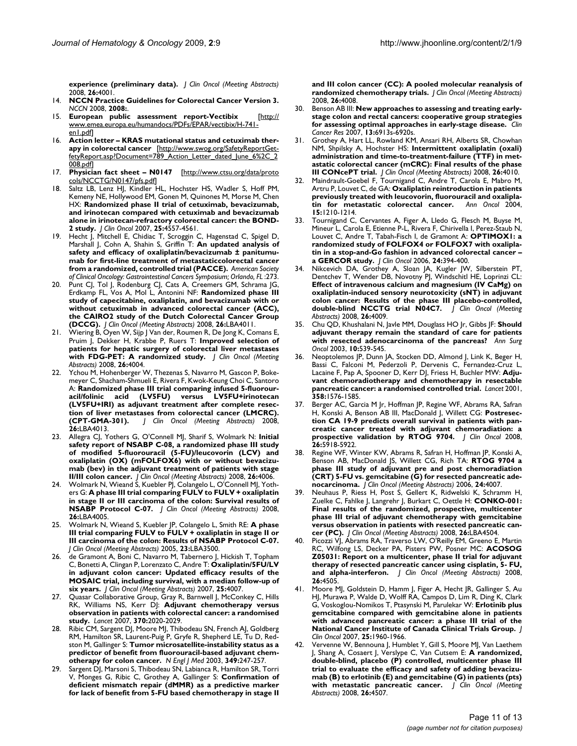**experience (preliminary data).** *J Clin Oncol (Meeting Abstracts)* 2008, **26:**4001.

- 14. **NCCN Practice Guidelines for Colorectal Cancer Version 3.** *NCCN* 2008, **2008:**.
- 15. **European public assessment report-Vectibix** [[http://](http://www.emea.europa.eu/humandocs/PDFs/EPAR/vectibix/H-741-en1.pdf) [www.emea.europa.eu/humandocs/PDFs/EPAR/vectibix/H-741](http://www.emea.europa.eu/humandocs/PDFs/EPAR/vectibix/H-741-en1.pdf) [en1.pdf\]](http://www.emea.europa.eu/humandocs/PDFs/EPAR/vectibix/H-741-en1.pdf)
- 16. **Action letter KRAS mutational status and cetuximab therapy in colorectal cancer** [[http://www.swog.org/SafetyReportGet](http://www.swog.org/SafetyReports/GetSafetyReport.asp?Document=789_Action_Letter_dated_June_6%2C_2008.pdf)[fetyReport.asp?Document=789\\_Action\\_Letter\\_dated\\_June\\_6%2C\\_2](http://www.swog.org/SafetyReports/GetSafetyReport.asp?Document=789_Action_Letter_dated_June_6%2C_2008.pdf) [008.pdf\]](http://www.swog.org/SafetyReports/GetSafetyReport.asp?Document=789_Action_Letter_dated_June_6%2C_2008.pdf)
- 17. **Physician fact sheet N0147** [[http://www.ctsu.org/data/proto](http://www.ctsu.org/data/protocols/NCCTG/N0147/pfs.pdf) [cols/NCCTG/N0147/pfs.pdf](http://www.ctsu.org/data/protocols/NCCTG/N0147/pfs.pdf)]
- 18. Saltz LB, Lenz HJ, Kindler HL, Hochster HS, Wadler S, Hoff PM, Kemeny NE, Hollywood EM, Gonen M, Quinones M, Morse M, Chen HX: **[Randomized phase II trial of cetuximab, bevacizumab,](http://www.ncbi.nlm.nih.gov/entrez/query.fcgi?cmd=Retrieve&db=PubMed&dopt=Abstract&list_uids=17876013) [and irinotecan compared with cetuximab and bevacizumab](http://www.ncbi.nlm.nih.gov/entrez/query.fcgi?cmd=Retrieve&db=PubMed&dopt=Abstract&list_uids=17876013) alone in irinotecan-refractory colorectal cancer: the BOND-[2 study.](http://www.ncbi.nlm.nih.gov/entrez/query.fcgi?cmd=Retrieve&db=PubMed&dopt=Abstract&list_uids=17876013)** *J Clin Oncol* 2007, **25:**4557-4561.
- 19. Hecht J, Mitchell E, Chidiac T, Scroggin C, Hagenstad C, Spigel D, Marshall J, Cohn A, Shahin S, Griffin T: **An updated analysis of safety and efficacy of oxaliplatin/bevacizumab ± panitumumab for first-line treatment of metastaticcolorectal cancer from a randomized, controlled trial (PACCE).** *American Society of Clinical Oncology: Gastrointestinal Cancers Symposium; Orlando, FL* :273.
- 20. Punt CJ, Tol J, Rodenburg CJ, Cats A, Creemers GM, Schrama JG, Erdkamp FL, Vos A, Mol L, Antonini NF: **Randomized phase III study of capecitabine, oxaliplatin, and bevacizumab with or without cetuximab in advanced colorectal cancer (ACC), the CAIRO2 study of the Dutch Colorectal Cancer Group (DCCG).** *J Clin Oncol (Meeting Abstracts)* 2008, **26:**LBA4011.
- 21. Wiering B, Oyen W, Sijp J Van der, Roumen R, De Jong K, Comans E, Pruim J, Dekker H, Krabbe P, Ruers T: **Improved selection of patients for hepatic surgery of colorectal liver metastases with FDG-PET: A randomized study.** *J Clin Oncol (Meeting Abstracts)* 2008, **26:**4004.
- 22. Ychou M, Hohenberger W, Thezenas S, Navarro M, Gascon P, Bokemeyer C, Shacham-Shmueli E, Rivera F, Kwok-Keung Choi C, Santoro A: **Randomized phase III trial comparing infused 5-fluorouracil/folinic acid (LV5FU) versus LV5FU+irinotecan (LV5FU+IRI) as adjuvant treatment after complete resection of liver metastases from colorectal cancer (LMCRC). (CPT-GMA-301).** *J Clin Oncol (Meeting Abstracts)* 2008, **26:**LBA4013.
- 23. Allegra CJ, Yothers G, O'Connell MJ, Sharif S, Wolmark N: **Initial safety report of NSABP C-08, a randomized phase III study of modified 5-fluorouracil (5-FU)/leucovorin (LCV) and oxaliplatin (OX) (mFOLFOX6) with or without bevacizumab (bev) in the adjuvant treatment of patients with stage II/III colon cancer.** *J Clin Oncol (Meeting Abstracts)* 2008, **26:**4006.
- 24. Wolmark N, Wieand S, Kuebler PJ, Colangelo L, O'Connell MJ, Yothers G: **A phase III trial comparing FULV to FULV + oxaliplatin in stage II or III carcinoma of the colon: Survival results of NSABP Protocol C-07.** *J Clin Oncol (Meeting Abstracts)* 2008, **26:**LBA4005.
- 25. Wolmark N, Wieand S, Kuebler JP, Colangelo L, Smith RE: **A phase III trial comparing FULV to FULV + oxaliplatin in stage II or III carcinoma of the colon: Results of NSABP Protocol C-07.** *J Clin Oncol (Meeting Abstracts)* 2005, **23:**LBA3500.
- 26. de Gramont A, Boni C, Navarro M, Tabernero J, Hickish T, Topham C, Bonetti A, Clingan P, Lorenzato C, Andre T: **Oxaliplatin/5FU/LV in adjuvant colon cancer: Updated efficacy results of the MOSAIC trial, including survival, with a median follow-up of six years.** *J Clin Oncol (Meeting Abstracts)* 2007, **25:**4007.
- 27. Quasar Collaborative Group, Gray R, Barnwell J, McConkey C, Hills RK, Williams NS, Kerr DJ: **[Adjuvant chemotherapy versus](http://www.ncbi.nlm.nih.gov/entrez/query.fcgi?cmd=Retrieve&db=PubMed&dopt=Abstract&list_uids=18083404) [observation in patients with colorectal cancer: a randomised](http://www.ncbi.nlm.nih.gov/entrez/query.fcgi?cmd=Retrieve&db=PubMed&dopt=Abstract&list_uids=18083404) [study.](http://www.ncbi.nlm.nih.gov/entrez/query.fcgi?cmd=Retrieve&db=PubMed&dopt=Abstract&list_uids=18083404)** *Lancet* 2007, **370:**2020-2029.
- 28. Ribic CM, Sargent DJ, Moore MJ, Thibodeau SN, French AJ, Goldberg RM, Hamilton SR, Laurent-Puig P, Gryfe R, Shepherd LE, Tu D, Redston M, Gallinger S: **[Tumor microsatellite-instability status as a](http://www.ncbi.nlm.nih.gov/entrez/query.fcgi?cmd=Retrieve&db=PubMed&dopt=Abstract&list_uids=12867608) [predictor of benefit from fluorouracil-based adjuvant chem](http://www.ncbi.nlm.nih.gov/entrez/query.fcgi?cmd=Retrieve&db=PubMed&dopt=Abstract&list_uids=12867608)[otherapy for colon cancer.](http://www.ncbi.nlm.nih.gov/entrez/query.fcgi?cmd=Retrieve&db=PubMed&dopt=Abstract&list_uids=12867608)** *N Engl J Med* 2003, **349:**247-257.
- 29. Sargent DJ, Marsoni S, Thibodeau SN, Labianca R, Hamilton SR, Torri V, Monges G, Ribic C, Grothey A, Gallinger S: **Confirmation of deficient mismatch repair (dMMR) as a predictive marker for lack of benefit from 5-FU based chemotherapy in stage II**

**and III colon cancer (CC): A pooled molecular reanalysis of randomized chemotherapy trials.** *J Clin Oncol (Meeting Abstracts)* 2008, **26:**4008.

- 30. Benson AB III: **[New approaches to assessing and treating early](http://www.ncbi.nlm.nih.gov/entrez/query.fcgi?cmd=Retrieve&db=PubMed&dopt=Abstract&list_uids=18006800)[stage colon and rectal cancers: cooperative group strategies](http://www.ncbi.nlm.nih.gov/entrez/query.fcgi?cmd=Retrieve&db=PubMed&dopt=Abstract&list_uids=18006800) [for assessing optimal approaches in early-stage disease.](http://www.ncbi.nlm.nih.gov/entrez/query.fcgi?cmd=Retrieve&db=PubMed&dopt=Abstract&list_uids=18006800)** *Clin Cancer Res* 2007, **13:**6913s-6920s.
- 31. Grothey A, Hart LL, Rowland KM, Ansari RH, Alberts SR, Chowhan NM, Shpilsky A, Hochster HS: **Intermittent oxaliplatin (oxali) administration and time-to-treatment-failure (TTF) in metastatic colorectal cancer (mCRC): Final results of the phase III CONcePT trial.** *J Clin Oncol (Meeting Abstracts)* 2008, **26:**4010.
- 32. Maindrault-Goebel F, Tournigand C, Andre T, Carola E, Mabro M, Artru P, Louvet C, de GA: **[Oxaliplatin reintroduction in patients](http://www.ncbi.nlm.nih.gov/entrez/query.fcgi?cmd=Retrieve&db=PubMed&dopt=Abstract&list_uids=15277260) [previously treated with leucovorin, fluorouracil and oxalipla](http://www.ncbi.nlm.nih.gov/entrez/query.fcgi?cmd=Retrieve&db=PubMed&dopt=Abstract&list_uids=15277260)[tin for metastatic colorectal cancer.](http://www.ncbi.nlm.nih.gov/entrez/query.fcgi?cmd=Retrieve&db=PubMed&dopt=Abstract&list_uids=15277260)** *Ann Oncol* 2004, **15:**1210-1214.
- 33. Tournigand C, Cervantes A, Figer A, Lledo G, Flesch M, Buyse M, Mineur L, Carola E, Etienne P-L, Rivera F, Chirivella I, Perez-Staub N, Louvet C, Andre T, Tabah-Fisch I, de Gramont A: **[OPTIMOX1: a](http://www.ncbi.nlm.nih.gov/entrez/query.fcgi?cmd=Retrieve&db=PubMed&dopt=Abstract&list_uids=16421419) [randomized study of FOLFOX4 or FOLFOX7 with oxalipla](http://www.ncbi.nlm.nih.gov/entrez/query.fcgi?cmd=Retrieve&db=PubMed&dopt=Abstract&list_uids=16421419)tin in a stop-and-Go fashion in advanced colorectal cancer – [a GERCOR study.](http://www.ncbi.nlm.nih.gov/entrez/query.fcgi?cmd=Retrieve&db=PubMed&dopt=Abstract&list_uids=16421419)** *J Clin Oncol* 2006, **24:**394-400.
- 34. Nikcevich DA, Grothey A, Sloan JA, Kugler JW, Silberstein PT, Dentchev T, Wender DB, Novotny PJ, Windschitl HE, Loprinzi CL: **Effect of intravenous calcium and magnesium (IV CaMg) on oxaliplatin-induced sensory neurotoxicity (sNT) in adjuvant colon cancer: Results of the phase III placebo-controlled, double-blind NCCTG trial N04C7.** *J Clin Oncol (Meeting Abstracts)* 2008, **26:**4009.
- 35. Chu QD, Khushalani N, Javle MM, Douglass HO Jr, Gibbs JF: **[Should](http://www.ncbi.nlm.nih.gov/entrez/query.fcgi?cmd=Retrieve&db=PubMed&dopt=Abstract&list_uids=12794020) [adjuvant therapy remain the standard of care for patients](http://www.ncbi.nlm.nih.gov/entrez/query.fcgi?cmd=Retrieve&db=PubMed&dopt=Abstract&list_uids=12794020) [with resected adenocarcinoma of the pancreas?](http://www.ncbi.nlm.nih.gov/entrez/query.fcgi?cmd=Retrieve&db=PubMed&dopt=Abstract&list_uids=12794020)** *Ann Surg Oncol* 2003, **10:**539-545.
- 36. Neoptolemos JP, Dunn JA, Stocken DD, Almond J, Link K, Beger H, Bassi C, Falconi M, Pederzoli P, Dervenis C, Fernandez-Cruz L, Lacaine F, Pap A, Spooner D, Kerr DJ, Friess H, Buchler MW: **[Adju](http://www.ncbi.nlm.nih.gov/entrez/query.fcgi?cmd=Retrieve&db=PubMed&dopt=Abstract&list_uids=11716884)[vant chemoradiotherapy and chemotherapy in resectable](http://www.ncbi.nlm.nih.gov/entrez/query.fcgi?cmd=Retrieve&db=PubMed&dopt=Abstract&list_uids=11716884) [pancreatic cancer: a randomised controlled trial.](http://www.ncbi.nlm.nih.gov/entrez/query.fcgi?cmd=Retrieve&db=PubMed&dopt=Abstract&list_uids=11716884)** *Lancet* 2001, **358:**1576-1585.
- Berger AC, Garcia M Jr, Hoffman JP, Regine WF, Abrams RA, Safran H, Konski A, Benson AB III, MacDonald J, Willett CG: **[Postresec](http://www.ncbi.nlm.nih.gov/entrez/query.fcgi?cmd=Retrieve&db=PubMed&dopt=Abstract&list_uids=19029412)[tion CA 19-9 predicts overall survival in patients with pan](http://www.ncbi.nlm.nih.gov/entrez/query.fcgi?cmd=Retrieve&db=PubMed&dopt=Abstract&list_uids=19029412)creatic cancer treated with adjuvant chemoradiation: a [prospective validation by RTOG 9704.](http://www.ncbi.nlm.nih.gov/entrez/query.fcgi?cmd=Retrieve&db=PubMed&dopt=Abstract&list_uids=19029412)** *J Clin Oncol* 2008, **26:**5918-5922.
- 38. Regine WF, Winter KW, Abrams R, Safran H, Hoffman JP, Konski A, Benson AB, MacDonald JS, Willett CG, Rich TA: **RTOG 9704 a phase III study of adjuvant pre and post chemoradiation (CRT) 5-FU vs. gemcitabine (G) for resected pancreatic adenocarcinoma.** *J Clin Oncol (Meeting Abstracts)* 2006, **24:**4007.
- 39. Neuhaus P, Riess H, Post S, Gellert K, Ridwelski K, Schramm H, Zuelke C, Fahlke J, Langrehr J, Burkart C, Oettle H: **CONKO-001: Final results of the randomized, prospective, multicenter phase III trial of adjuvant chemotherapy with gemcitabine versus observation in patients with resected pancreatic cancer (PC).** *J Clin Oncol (Meeting Abstracts)* 2008, **26:**LBA4504.
- 40. Picozzi VJ, Abrams RA, Traverso LW, O'Reilly EM, Greeno E, Martin RC, Wilfong LS, Decker PA, Pisters PW, Posner MC: **ACOSOG Z05031: Report on a multicenter, phase II trial for adjuvant therapy of resected pancreatic cancer using cisplatin, 5- FU, and alpha-interferon.** *J Clin Oncol (Meeting Abstracts)* 2008, **26:**4505.
- Moore MJ, Goldstein D, Hamm J, Figer A, Hecht JR, Gallinger S, Au HJ, Murawa P, Walde D, Wolff RA, Campos D, Lim R, Ding K, Clark G, Voskoglou-Nomikos T, Ptasynski M, Parulekar W: **[Erlotinib plus](http://www.ncbi.nlm.nih.gov/entrez/query.fcgi?cmd=Retrieve&db=PubMed&dopt=Abstract&list_uids=17452677) [gemcitabine compared with gemcitabine alone in patients](http://www.ncbi.nlm.nih.gov/entrez/query.fcgi?cmd=Retrieve&db=PubMed&dopt=Abstract&list_uids=17452677) with advanced pancreatic cancer: a phase III trial of the [National Cancer Institute of Canada Clinical Trials Group.](http://www.ncbi.nlm.nih.gov/entrez/query.fcgi?cmd=Retrieve&db=PubMed&dopt=Abstract&list_uids=17452677)** *J Clin Oncol* 2007, **25:**1960-1966.
- 42. Vervenne W, Bennouna J, Humblet Y, Gill S, Moore MJ, Van Laethem J, Shang A, Cosaert J, Verslype C, Van Cutsem E: **A randomized, double-blind, placebo (P) controlled, multicenter phase III trial to evaluate the efficacy and safety of adding bevacizumab (B) to erlotinib (E) and gemcitabine (G) in patients (pts) with metastatic pancreatic cancer.** *J Clin Oncol (Meeting Abstracts)* 2008, **26:**4507.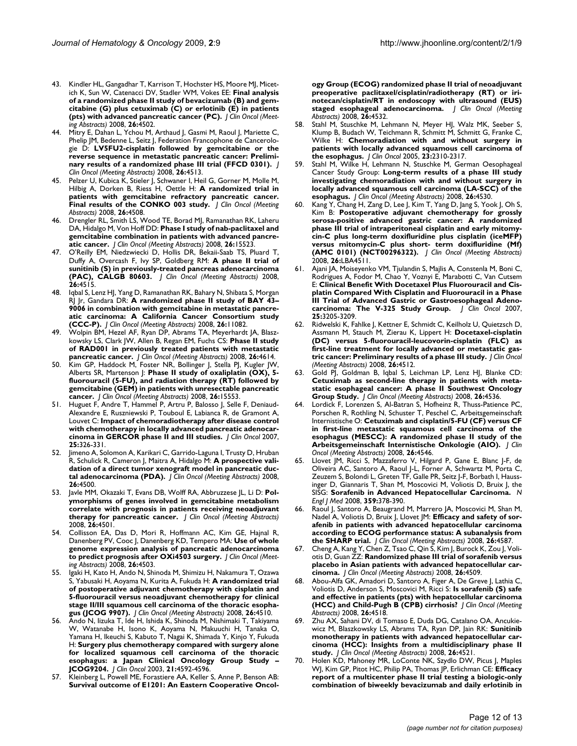- 43. Kindler HL, Gangadhar T, Karrison T, Hochster HS, Moore MJ, Micetich K, Sun W, Catenacci DV, Stadler WM, Vokes EE: **Final analysis of a randomized phase II study of bevacizumab (B) and gemcitabine (G) plus cetuximab (C) or erlotinib (E) in patients (pts) with advanced pancreatic cancer (PC).** *J Clin Oncol (Meeting Abstracts)* 2008, **26:**4502.
- 44. Mitry E, Dahan L, Ychou M, Arthaud J, Gasmi M, Raoul J, Mariette C, Phelip JM, Bedenne L, Seitz J, Federation Francophone de Cancerologie D: **LV5FU2-cisplatin followed by gemcitabine or the reverse sequence in metastatic pancreatic cancer: Preliminary results of a randomized phase III trial (FFCD 0301).** *J Clin Oncol (Meeting Abstracts)* 2008, **26:**4513.
- 45. Pelzer U, Kubica K, Stieler J, Schwaner I, Heil G, Gorner M, Molle M, Hilbig A, Dorken B, Riess H, Oettle H: **A randomized trial in patients with gemcitabine refractory pancreatic cancer. Final results of the CONKO 003 study.** *J Clin Oncol (Meeting Abstracts)* 2008, **26:**4508.
- 46. Drengler RL, Smith LS, Wood TE, Borad MJ, Ramanathan RK, Laheru DA, Hidalgo M, Von Hoff DD: **Phase I study of nab-paclitaxel and gemcitabine combination in patients with advanced pancreatic cancer.** *J Clin Oncol (Meeting Abstracts)* 2008, **26:**15523.
- 47. O'Reilly EM, Niedzwiecki D, Hollis DR, Bekaii-Saab TS, Pluard T, Duffy A, Overcash F, Ivy SP, Goldberg RM: **A phase II trial of sunitinib (S) in previously-treated pancreas adenocarcinoma (PAC), CALGB 80603.** *J Clin Oncol (Meeting Abstracts)* 2008, **26:**4515.
- 48. Iqbal S, Lenz HJ, Yang D, Ramanathan RK, Bahary N, Shibata S, Morgan RJ Jr, Gandara DR: **A randomized phase II study of BAY 43– 9006 in combination with gemcitabine in metastatic pancreatic carcinoma: A California Cancer Consortium study (CCC-P).** *J Clin Oncol (Meeting Abstracts)* 2008, **26:**11082.
- 49. Wolpin BM, Hezel AF, Ryan DP, Abrams TA, Meyerhardt JA, Blaszkowsky LS, Clark JW, Allen B, Regan EM, Fuchs CS: **Phase II study of RAD001 in previously treated patients with metastatic pancreatic cancer.** *J Clin Oncol (Meeting Abstracts)* 2008, **26:**4614.
- 50. Kim GP, Haddock M, Foster NR, Bollinger J, Stella PJ, Kugler JW, Alberts SR, Martenson J: **Phase II study of oxaliplatin (OX), 5 fluorouracil (5-FU), and radiation therapy (RT) followed by gemcitabine (GEM) in patients with unresectable pancreatic cancer.** *J Clin Oncol (Meeting Abstracts)* 2008, **26:**15553.
- 51. Huguet F, Andre T, Hammel P, Artru P, Balosso J, Selle F, Deniaud-Alexandre E, Ruszniewski P, Touboul E, Labianca R, de Gramont A, Louvet C: **[Impact of chemoradiotherapy after disease control](http://www.ncbi.nlm.nih.gov/entrez/query.fcgi?cmd=Retrieve&db=PubMed&dopt=Abstract&list_uids=17235048) [with chemotherapy in locally advanced pancreatic adenocar](http://www.ncbi.nlm.nih.gov/entrez/query.fcgi?cmd=Retrieve&db=PubMed&dopt=Abstract&list_uids=17235048)[cinoma in GERCOR phase II and III studies.](http://www.ncbi.nlm.nih.gov/entrez/query.fcgi?cmd=Retrieve&db=PubMed&dopt=Abstract&list_uids=17235048)** *J Clin Oncol* 2007, **25:**326-331.
- 52. Jimeno A, Solomon A, Karikari C, Garrido-Laguna I, Trusty D, Hruban R, Schulick R, Cameron J, Maitra A, Hidalgo M: **A prospective validation of a direct tumor xenograft model in pancreatic ductal adenocarcinoma (PDA).** *J Clin Oncol (Meeting Abstracts)* 2008, **26:**4500.
- 53. Javle MM, Okazaki T, Evans DB, Wolff RA, Abbruzzese JL, Li D: **Polymorphisms of genes involved in gemcitabine metabolism correlate with prognosis in patients receiving neoadjuvant therapy for pancreatic cancer.** *J Clin Oncol (Meeting Abstracts)* 2008, **26:**4501.
- 54. Collisson EA, Das D, Mori R, Hoffmann AC, Kim GE, Hajnal R, Danenberg PV, Cooc J, Danenberg KD, Tempero MA: **Use of whole genome expression analysis of pancreatic adenocarcinoma to predict prognosis after OXi4503 surgery.** *J Clin Oncol (Meeting Abstracts)* 2008, **26:**4503.
- 55. Igaki H, Kato H, Ando N, Shinoda M, Shimizu H, Nakamura T, Ozawa S, Yabusaki H, Aoyama N, Kurita A, Fukuda H: **A randomized trial of postoperative adjuvant chemotherapy with cisplatin and 5-fluorouracil versus neoadjuvant chemotherapy for clinical stage II/III squamous cell carcinoma of the thoracic esophagus (JCOG 9907).** *J Clin Oncol (Meeting Abstracts)* 2008, **26:**4510.
- 56. Ando N, Iizuka T, Ide H, Ishida K, Shinoda M, Nishimaki T, Takiyama W, Watanabe H, Isono K, Aoyama N, Makuuchi H, Tanaka O, Yamana H, Ikeuchi S, Kabuto T, Nagai K, Shimada Y, Kinjo Y, Fukuda H: **[Surgery plus chemotherapy compared with surgery alone](http://www.ncbi.nlm.nih.gov/entrez/query.fcgi?cmd=Retrieve&db=PubMed&dopt=Abstract&list_uids=14673047) [for localized squamous cell carcinoma of the thoracic](http://www.ncbi.nlm.nih.gov/entrez/query.fcgi?cmd=Retrieve&db=PubMed&dopt=Abstract&list_uids=14673047) esophagus: a Japan Clinical Oncology Group Study – [JCOG9204.](http://www.ncbi.nlm.nih.gov/entrez/query.fcgi?cmd=Retrieve&db=PubMed&dopt=Abstract&list_uids=14673047)** *J Clin Oncol* 2003, **21:**4592-4596.
- 57. Kleinberg L, Powell ME, Forastiere AA, Keller S, Anne P, Benson AB: **Survival outcome of E1201: An Eastern Cooperative Oncol-**

**ogy Group (ECOG) randomized phase II trial of neoadjuvant preoperative paclitaxel/cisplatin/radiotherapy (RT) or irinotecan/cisplatin/RT in endoscopy with ultrasound (EUS) staged esophageal adenocarcinoma.** *J Clin Oncol (Meeting Abstracts)* 2008, **26:**4532.

- 58. Stahl M, Stuschke M, Lehmann N, Meyer HJ, Walz MK, Seeber S, Klump B, Budach W, Teichmann R, Schmitt M, Schmitt G, Franke C, Wilke H: **[Chemoradiation with and without surgery in](http://www.ncbi.nlm.nih.gov/entrez/query.fcgi?cmd=Retrieve&db=PubMed&dopt=Abstract&list_uids=15800321) [patients with locally advanced squamous cell carcinoma of](http://www.ncbi.nlm.nih.gov/entrez/query.fcgi?cmd=Retrieve&db=PubMed&dopt=Abstract&list_uids=15800321) [the esophagus.](http://www.ncbi.nlm.nih.gov/entrez/query.fcgi?cmd=Retrieve&db=PubMed&dopt=Abstract&list_uids=15800321)** *J Clin Oncol* 2005, **23:**2310-2317.
- 59. Stahl M, Wilke H, Lehmann N, Stuschke M, German Oesophageal Cancer Study Group: **Long-term results of a phase III study investigating chemoradiation with and without surgery in locally advanced squamous cell carcinoma (LA-SCC) of the esophagus.** *J Clin Oncol (Meeting Abstracts)* 2008, **26:**4530.
- Kang Y, Chang H, Zang D, Lee J, Kim T, Yang D, Jang S, Yook J, Oh S, Kim B: **Postoperative adjuvant chemotherapy for grossly** serosa-positive advanced gastric cancer: A randomized **phase III trial of intraperitoneal cisplatin and early mitomycin-C plus long-term doxifluridine plus cisplatin (iceMFP) versus mitomycin-C plus short- term doxifluridine (Mf) (AMC 0101) (NCT00296322).** *J Clin Oncol (Meeting Abstracts)* 2008, **26:**LBA4511.
- 61. Ajani JA, Moiseyenko VM, Tjulandin S, Majlis A, Constenla M, Boni C, Rodrigues A, Fodor M, Chao Y, Voznyi E, Marabotti C, Van Cutsem E: **[Clinical Benefit With Docetaxel Plus Fluorouracil and Cis](http://www.ncbi.nlm.nih.gov/entrez/query.fcgi?cmd=Retrieve&db=PubMed&dopt=Abstract&list_uids=17664467)[platin Compared With Cisplatin and Fluorouracil in a Phase](http://www.ncbi.nlm.nih.gov/entrez/query.fcgi?cmd=Retrieve&db=PubMed&dopt=Abstract&list_uids=17664467) III Trial of Advanced Gastric or Gastroesophageal Adeno[carcinoma: The V-325 Study Group.](http://www.ncbi.nlm.nih.gov/entrez/query.fcgi?cmd=Retrieve&db=PubMed&dopt=Abstract&list_uids=17664467)** *J Clin Oncol* 2007, **25:**3205-3209.
- 62. Ridwelski K, Fahlke J, Kettner E, Schmidt C, Keilholz U, Quietzsch D, Assmann M, Stauch M, Zierau K, Lippert H: **Docetaxel-cisplatin (DC) versus 5-fluorouracil-leucovorin-cisplatin (FLC) as first-line treatment for locally advanced or metastatic gastric cancer: Preliminary results of a phase III study.** *J Clin Oncol (Meeting Abstracts)* 2008, **26:**4512.
- 63. Gold PJ, Goldman B, Iqbal S, Leichman LP, Lenz HJ, Blanke CD: **Cetuximab as second-line therapy in patients with metastatic esophageal cancer: A phase II Southwest Oncology Group Study.** *J Clin Oncol (Meeting Abstracts)* 2008, **26:**4536.
- Lordick F, Lorenzen S, Al-Batran S, Hofheinz R, Thuss-Patience PC, Porschen R, Rothling N, Schuster T, Peschel C, Arbeitsgemeinschaft Internistische O: **Cetuximab and cisplatin/5-FU (CF) versus CF in first-line metastatic squamous cell carcinoma of the esophagus (MESCC): A randomized phase II study of the Arbeitsgemeinschaft Internistische Onkologie (AIO).** *J Clin Oncol (Meeting Abstracts)* 2008, **26:**4546.
- 65. Llovet JM, Ricci S, Mazzaferro V, Hilgard P, Gane E, Blanc J-F, de Oliveira AC, Santoro A, Raoul J-L, Forner A, Schwartz M, Porta C, Zeuzem S, Bolondi L, Greten TF, Galle PR, Seitz J-F, Borbath I, Haussinger D, Giannaris T, Shan M, Moscovici M, Voliotis D, Bruix J, the SISG: **[Sorafenib in Advanced Hepatocellular Carcinoma.](http://www.ncbi.nlm.nih.gov/entrez/query.fcgi?cmd=Retrieve&db=PubMed&dopt=Abstract&list_uids=18650514)** *N Engl J Med* 2008, **359:**378-390.
- Raoul J, Santoro A, Beaugrand M, Marrero JA, Moscovici M, Shan M, Nadel A, Voliotis D, Bruix J, Llovet JM: **Efficacy and safety of sorafenib in patients with advanced hepatocellular carcinoma according to ECOG performance status: A subanalysis from the SHARP trial.** *J Clin Oncol (Meeting Abstracts)* 2008, **26:**4587.
- 67. Cheng A, Kang Y, Chen Z, Tsao C, Qin S, Kim J, Burock K, Zou J, Voliotis D, Guan ZZ: **Randomized phase III trial of sorafenib versus placebo in Asian patients with advanced hepatocellular carcinoma.** *J Clin Oncol (Meeting Abstracts)* 2008, **26:**4509.
- Abou-Alfa GK, Amadori D, Santoro A, Figer A, De Greve J, Lathia C, Voliotis D, Anderson S, Moscovici M, Ricci S: **Is sorafenib (S) safe and effective in patients (pts) with hepatocellular carcinoma (HCC) and Child-Pugh B (CPB) cirrhosis?** *J Clin Oncol (Meeting Abstracts)* 2008, **26:**4518.
- 69. Zhu AX, Sahani DV, di Tomaso E, Duda DG, Catalano OA, Ancukiewicz M, Blaszkowsky LS, Abrams TA, Ryan DP, Jain RK: **Sunitinib monotherapy in patients with advanced hepatocellular carcinoma (HCC): Insights from a multidisciplinary phase II study.** *J Clin Oncol (Meeting Abstracts)* 2008, **26:**4521.
- Holen KD, Mahoney MR, LoConte NK, Szydlo DW, Picus J, Maples WJ, Kim GP, Pitot HC, Philip PA, Thomas JP, Erlichman CE: **Efficacy report of a multicenter phase II trial testing a biologic-only combination of biweekly bevacizumab and daily erlotinib in**